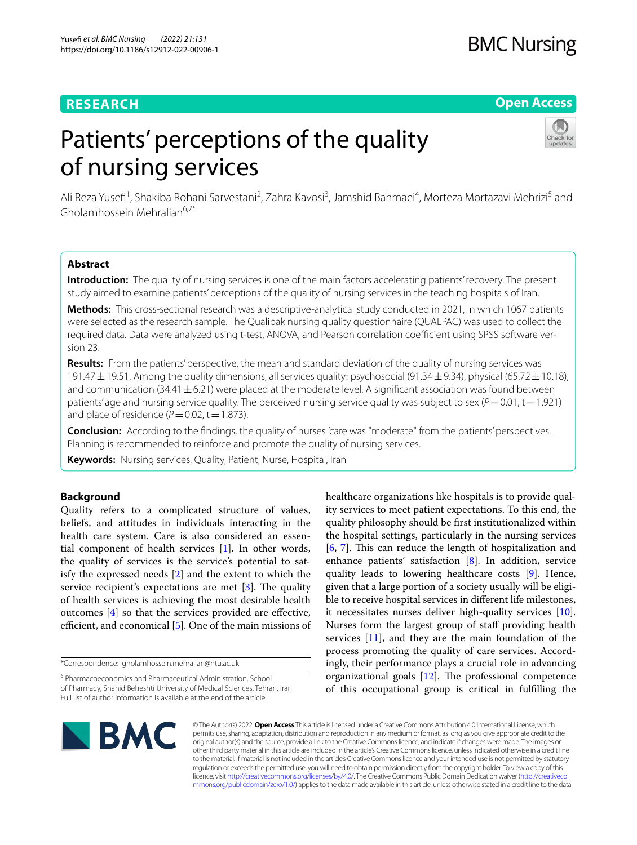## **RESEARCH**

## **BMC Nursing**

## **Open Access**

# Patients' perceptions of the quality of nursing services



Ali Reza Yusefi<sup>1</sup>, Shakiba Rohani Sarvestani<sup>2</sup>, Zahra Kavosi<sup>3</sup>, Jamshid Bahmaei<sup>4</sup>, Morteza Mortazavi Mehrizi<sup>5</sup> and Gholamhossein Mehralian $6.7*$ 

## **Abstract**

**Introduction:** The quality of nursing services is one of the main factors accelerating patients' recovery. The present study aimed to examine patients' perceptions of the quality of nursing services in the teaching hospitals of Iran.

**Methods:** This cross-sectional research was a descriptive-analytical study conducted in 2021, in which 1067 patients were selected as the research sample. The Qualipak nursing quality questionnaire (QUALPAC) was used to collect the required data. Data were analyzed using t-test, ANOVA, and Pearson correlation coefficient using SPSS software version 23.

**Results:** From the patients' perspective, the mean and standard deviation of the quality of nursing services was 191.47  $\pm$  19.51. Among the quality dimensions, all services quality: psychosocial (91.34  $\pm$  9.34), physical (65.72  $\pm$  10.18), and communication  $(34.41 \pm 6.21)$  were placed at the moderate level. A significant association was found between patients' age and nursing service quality. The perceived nursing service quality was subject to sex  $(P=0.01, t=1.921)$ and place of residence  $(P=0.02, t=1.873)$ .

**Conclusion:** According to the fndings, the quality of nurses 'care was "moderate" from the patients' perspectives. Planning is recommended to reinforce and promote the quality of nursing services.

**Keywords:** Nursing services, Quality, Patient, Nurse, Hospital, Iran

## **Background**

Quality refers to a complicated structure of values, beliefs, and attitudes in individuals interacting in the health care system. Care is also considered an essential component of health services [\[1](#page-8-0)]. In other words, the quality of services is the service's potential to satisfy the expressed needs [[2\]](#page-8-1) and the extent to which the service recipient's expectations are met  $[3]$  $[3]$ . The quality of health services is achieving the most desirable health outcomes [[4\]](#page-8-3) so that the services provided are efective, efficient, and economical  $[5]$  $[5]$ . One of the main missions of

\*Correspondence: gholamhossein.mehralian@ntu.ac.uk

healthcare organizations like hospitals is to provide quality services to meet patient expectations. To this end, the quality philosophy should be frst institutionalized within the hospital settings, particularly in the nursing services [[6,](#page-8-5) [7](#page-8-6)]. This can reduce the length of hospitalization and enhance patients' satisfaction [[8\]](#page-8-7). In addition, service quality leads to lowering healthcare costs [[9\]](#page-8-8). Hence, given that a large portion of a society usually will be eligible to receive hospital services in diferent life milestones, it necessitates nurses deliver high-quality services [\[10](#page-8-9)]. Nurses form the largest group of staff providing health services [\[11](#page-8-10)], and they are the main foundation of the process promoting the quality of care services. Accordingly, their performance plays a crucial role in advancing organizational goals  $[12]$ . The professional competence of this occupational group is critical in fulflling the



© The Author(s) 2022. **Open Access** This article is licensed under a Creative Commons Attribution 4.0 International License, which permits use, sharing, adaptation, distribution and reproduction in any medium or format, as long as you give appropriate credit to the original author(s) and the source, provide a link to the Creative Commons licence, and indicate if changes were made. The images or other third party material in this article are included in the article's Creative Commons licence, unless indicated otherwise in a credit line to the material. If material is not included in the article's Creative Commons licence and your intended use is not permitted by statutory regulation or exceeds the permitted use, you will need to obtain permission directly from the copyright holder. To view a copy of this licence, visit [http://creativecommons.org/licenses/by/4.0/.](http://creativecommons.org/licenses/by/4.0/) The Creative Commons Public Domain Dedication waiver ([http://creativeco](http://creativecommons.org/publicdomain/zero/1.0/) [mmons.org/publicdomain/zero/1.0/](http://creativecommons.org/publicdomain/zero/1.0/)) applies to the data made available in this article, unless otherwise stated in a credit line to the data.

<sup>&</sup>lt;sup>6</sup> Pharmacoeconomics and Pharmaceutical Administration, School of Pharmacy, Shahid Beheshti University of Medical Sciences, Tehran, Iran Full list of author information is available at the end of the article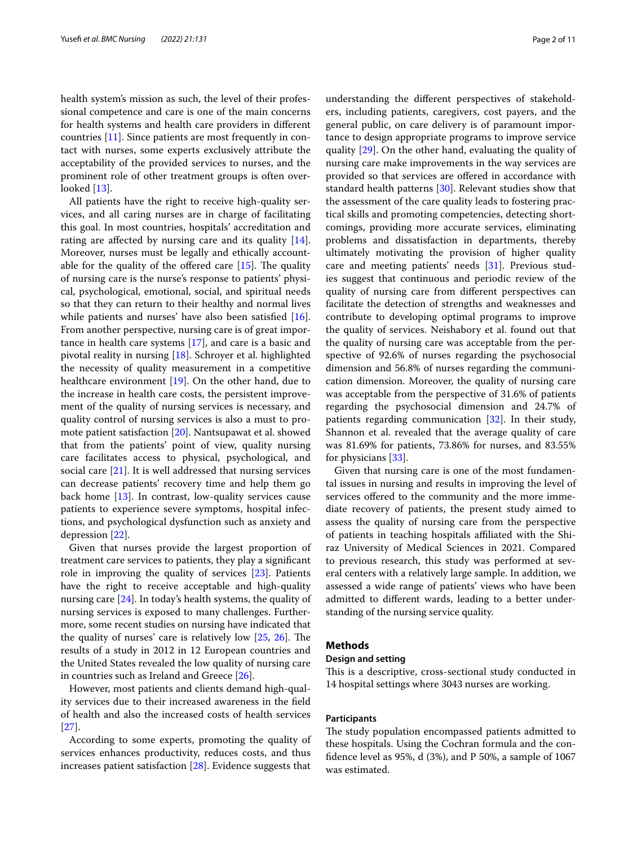health system's mission as such, the level of their professional competence and care is one of the main concerns for health systems and health care providers in diferent countries [[11\]](#page-8-10). Since patients are most frequently in contact with nurses, some experts exclusively attribute the acceptability of the provided services to nurses, and the prominent role of other treatment groups is often over-looked [[13\]](#page-8-12).

All patients have the right to receive high-quality services, and all caring nurses are in charge of facilitating this goal. In most countries, hospitals' accreditation and rating are affected by nursing care and its quality [\[14](#page-8-13)]. Moreover, nurses must be legally and ethically accountable for the quality of the offered care  $[15]$  $[15]$ . The quality of nursing care is the nurse's response to patients' physical, psychological, emotional, social, and spiritual needs so that they can return to their healthy and normal lives while patients and nurses' have also been satisfied [\[16](#page-8-15)]. From another perspective, nursing care is of great importance in health care systems [[17\]](#page-8-16), and care is a basic and pivotal reality in nursing [[18\]](#page-8-17). Schroyer et al. highlighted the necessity of quality measurement in a competitive healthcare environment [[19](#page-8-18)]. On the other hand, due to the increase in health care costs, the persistent improvement of the quality of nursing services is necessary, and quality control of nursing services is also a must to promote patient satisfaction [\[20](#page-8-19)]. Nantsupawat et al. showed that from the patients' point of view, quality nursing care facilitates access to physical, psychological, and social care [[21\]](#page-8-20). It is well addressed that nursing services can decrease patients' recovery time and help them go back home [[13\]](#page-8-12). In contrast, low-quality services cause patients to experience severe symptoms, hospital infections, and psychological dysfunction such as anxiety and depression [\[22](#page-8-21)].

Given that nurses provide the largest proportion of treatment care services to patients, they play a signifcant role in improving the quality of services [\[23](#page-8-22)]. Patients have the right to receive acceptable and high-quality nursing care [[24\]](#page-8-23). In today's health systems, the quality of nursing services is exposed to many challenges. Furthermore, some recent studies on nursing have indicated that the quality of nurses' care is relatively low  $[25, 26]$  $[25, 26]$  $[25, 26]$  $[25, 26]$  $[25, 26]$ . The results of a study in 2012 in 12 European countries and the United States revealed the low quality of nursing care in countries such as Ireland and Greece [[26\]](#page-9-1).

However, most patients and clients demand high-quality services due to their increased awareness in the feld of health and also the increased costs of health services [[27\]](#page-9-2).

According to some experts, promoting the quality of services enhances productivity, reduces costs, and thus increases patient satisfaction [\[28](#page-9-3)]. Evidence suggests that understanding the diferent perspectives of stakeholders, including patients, caregivers, cost payers, and the general public, on care delivery is of paramount importance to design appropriate programs to improve service quality [[29\]](#page-9-4). On the other hand, evaluating the quality of nursing care make improvements in the way services are provided so that services are ofered in accordance with standard health patterns [\[30\]](#page-9-5). Relevant studies show that the assessment of the care quality leads to fostering practical skills and promoting competencies, detecting shortcomings, providing more accurate services, eliminating problems and dissatisfaction in departments, thereby ultimately motivating the provision of higher quality care and meeting patients' needs [[31\]](#page-9-6). Previous studies suggest that continuous and periodic review of the quality of nursing care from diferent perspectives can facilitate the detection of strengths and weaknesses and contribute to developing optimal programs to improve the quality of services. Neishabory et al. found out that the quality of nursing care was acceptable from the perspective of 92.6% of nurses regarding the psychosocial dimension and 56.8% of nurses regarding the communication dimension. Moreover, the quality of nursing care was acceptable from the perspective of 31.6% of patients regarding the psychosocial dimension and 24.7% of patients regarding communication [[32\]](#page-9-7). In their study, Shannon et al. revealed that the average quality of care was 81.69% for patients, 73.86% for nurses, and 83.55% for physicians [[33\]](#page-9-8).

Given that nursing care is one of the most fundamental issues in nursing and results in improving the level of services offered to the community and the more immediate recovery of patients, the present study aimed to assess the quality of nursing care from the perspective of patients in teaching hospitals afliated with the Shiraz University of Medical Sciences in 2021. Compared to previous research, this study was performed at several centers with a relatively large sample. In addition, we assessed a wide range of patients' views who have been admitted to diferent wards, leading to a better understanding of the nursing service quality.

## **Methods**

## **Design and setting**

This is a descriptive, cross-sectional study conducted in 14 hospital settings where 3043 nurses are working.

## **Participants**

The study population encompassed patients admitted to these hospitals. Using the Cochran formula and the confdence level as 95%, d (3%), and P 50%, a sample of 1067 was estimated.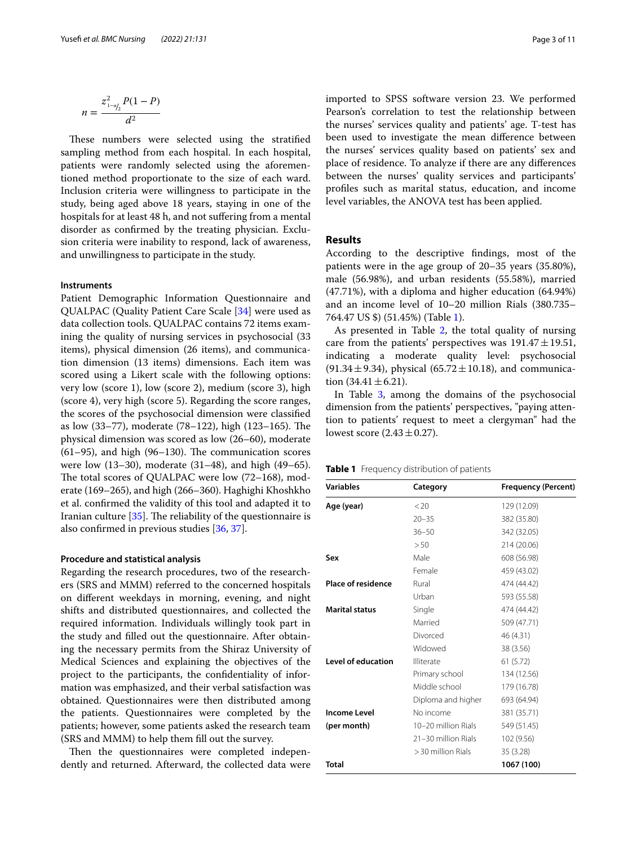$$
n = \frac{z_{1-a/2}^2 P(1-P)}{d^2}
$$

These numbers were selected using the stratified sampling method from each hospital. In each hospital, patients were randomly selected using the aforementioned method proportionate to the size of each ward. Inclusion criteria were willingness to participate in the study, being aged above 18 years, staying in one of the hospitals for at least 48 h, and not sufering from a mental disorder as confrmed by the treating physician. Exclusion criteria were inability to respond, lack of awareness, and unwillingness to participate in the study.

## **Instruments**

Patient Demographic Information Questionnaire and QUALPAC (Quality Patient Care Scale [\[34](#page-9-9)] were used as data collection tools. QUALPAC contains 72 items examining the quality of nursing services in psychosocial (33 items), physical dimension (26 items), and communication dimension (13 items) dimensions. Each item was scored using a Likert scale with the following options: very low (score 1), low (score 2), medium (score 3), high (score 4), very high (score 5). Regarding the score ranges, the scores of the psychosocial dimension were classifed as low (33–77), moderate (78–122), high (123–165). The physical dimension was scored as low (26–60), moderate  $(61–95)$ , and high  $(96–130)$ . The communication scores were low (13–30), moderate (31–48), and high (49–65). The total scores of QUALPAC were low  $(72-168)$ , moderate (169–265), and high (266–360). Haghighi Khoshkho et al. confrmed the validity of this tool and adapted it to Iranian culture  $[35]$  $[35]$ . The reliability of the questionnaire is also confrmed in previous studies [[36](#page-9-11), [37\]](#page-9-12).

#### **Procedure and statistical analysis**

Regarding the research procedures, two of the researchers (SRS and MMM) referred to the concerned hospitals on diferent weekdays in morning, evening, and night shifts and distributed questionnaires, and collected the required information. Individuals willingly took part in the study and flled out the questionnaire. After obtaining the necessary permits from the Shiraz University of Medical Sciences and explaining the objectives of the project to the participants, the confdentiality of information was emphasized, and their verbal satisfaction was obtained. Questionnaires were then distributed among the patients. Questionnaires were completed by the patients; however, some patients asked the research team (SRS and MMM) to help them fll out the survey.

Then the questionnaires were completed independently and returned. Afterward, the collected data were imported to SPSS software version 23. We performed Pearson's correlation to test the relationship between the nurses' services quality and patients' age. T-test has been used to investigate the mean diference between the nurses' services quality based on patients' sex and place of residence. To analyze if there are any diferences between the nurses' quality services and participants' profles such as marital status, education, and income level variables, the ANOVA test has been applied.

## **Results**

According to the descriptive fndings, most of the patients were in the age group of 20–35 years (35.80%), male (56.98%), and urban residents (55.58%), married (47.71%), with a diploma and higher education (64.94%) and an income level of 10–20 million Rials (380.735– 764.47 US \$) (51.45%) (Table [1](#page-2-0)).

As presented in Table [2](#page-3-0), the total quality of nursing care from the patients' perspectives was  $191.47 \pm 19.51$ , indicating a moderate quality level: psychosocial  $(91.34 \pm 9.34)$ , physical  $(65.72 \pm 10.18)$ , and communication  $(34.41 \pm 6.21)$ .

In Table [3](#page-4-0), among the domains of the psychosocial dimension from the patients' perspectives, "paying attention to patients' request to meet a clergyman" had the lowest score  $(2.43 \pm 0.27)$ .

<span id="page-2-0"></span>

| <b>Table 1</b> Frequency distribution of patients |  |  |
|---------------------------------------------------|--|--|
|---------------------------------------------------|--|--|

| Variables                 | Category            | <b>Frequency (Percent)</b> |  |
|---------------------------|---------------------|----------------------------|--|
| Age (year)                | < 20                | 129 (12.09)                |  |
|                           | $20 - 35$           | 382 (35.80)                |  |
|                           | $36 - 50$           | 342 (32.05)                |  |
|                           | > 50                | 214 (20.06)                |  |
| Sex                       | Male                | 608 (56.98)                |  |
|                           | Female              | 459 (43.02)                |  |
| <b>Place of residence</b> | Rural               | 474 (44.42)                |  |
|                           | Urban               | 593 (55.58)                |  |
| <b>Marital status</b>     | Single              | 474 (44.42)                |  |
|                           | Married             | 509 (47.71)                |  |
|                           | Divorced            | 46 (4.31)                  |  |
|                           | Widowed             | 38 (3.56)                  |  |
| Level of education        | Illiterate          | 61 (5.72)                  |  |
|                           | Primary school      | 134 (12.56)                |  |
|                           | Middle school       | 179 (16.78)                |  |
|                           | Diploma and higher  | 693 (64.94)                |  |
| <b>Income Level</b>       | No income           | 381 (35.71)                |  |
| (per month)               | 10-20 million Rials | 549 (51.45)                |  |
|                           | 21-30 million Rials | 102 (9.56)                 |  |
|                           | > 30 million Rials  | 35 (3.28)                  |  |
| Total                     |                     | 1067 (100)                 |  |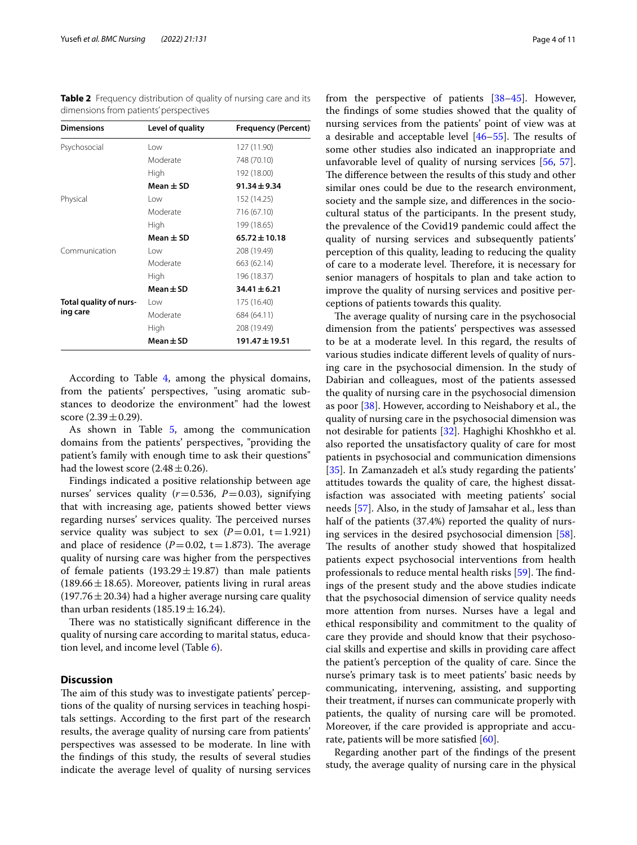<span id="page-3-0"></span>**Table 2** Frequency distribution of quality of nursing care and its dimensions from patients' perspectives

| <b>Dimensions</b>                  | Level of quality | <b>Frequency (Percent)</b> |
|------------------------------------|------------------|----------------------------|
| Psychosocial                       | Low              | 127 (11.90)                |
|                                    | Moderate         | 748 (70.10)                |
|                                    | High             | 192 (18.00)                |
|                                    | Mean $\pm$ SD    | $91.34 \pm 9.34$           |
| Physical                           | l ow             | 152 (14.25)                |
|                                    | Moderate         | 716 (67.10)                |
|                                    | High             | 199 (18.65)                |
|                                    | Mean $\pm$ SD    | $65.72 \pm 10.18$          |
| Communication                      | l ow             | 208 (19.49)                |
|                                    | Moderate         | 663 (62.14)                |
|                                    | High             | 196 (18.37)                |
|                                    | $Mean \pm SD$    | $34.41 \pm 6.21$           |
| Total quality of nurs-<br>ing care | l ow             | 175 (16.40)                |
|                                    | Moderate         | 684 (64.11)                |
|                                    | High             | 208 (19.49)                |
|                                    | Mean $\pm$ SD    | $191.47 \pm 19.51$         |

According to Table [4](#page-5-0), among the physical domains, from the patients' perspectives, "using aromatic substances to deodorize the environment" had the lowest score  $(2.39 \pm 0.29)$ .

As shown in Table [5](#page-5-1), among the communication domains from the patients' perspectives, "providing the patient's family with enough time to ask their questions" had the lowest score  $(2.48 \pm 0.26)$ .

Findings indicated a positive relationship between age nurses' services quality (*r*=0.536, *P*=0.03), signifying that with increasing age, patients showed better views regarding nurses' services quality. The perceived nurses service quality was subject to sex  $(P=0.01, t=1.921)$ and place of residence  $(P=0.02, t=1.873)$ . The average quality of nursing care was higher from the perspectives of female patients  $(193.29 \pm 19.87)$  than male patients  $(189.66 \pm 18.65)$ . Moreover, patients living in rural areas (197.76  $\pm$  20.34) had a higher average nursing care quality than urban residents  $(185.19 \pm 16.24)$ .

There was no statistically significant difference in the quality of nursing care according to marital status, education level, and income level (Table [6\)](#page-6-0).

## **Discussion**

The aim of this study was to investigate patients' perceptions of the quality of nursing services in teaching hospitals settings. According to the frst part of the research results, the average quality of nursing care from patients' perspectives was assessed to be moderate. In line with the fndings of this study, the results of several studies indicate the average level of quality of nursing services from the perspective of patients [\[38](#page-9-13)[–45\]](#page-9-14). However, the fndings of some studies showed that the quality of nursing services from the patients' point of view was at a desirable and acceptable level  $[46-55]$  $[46-55]$  $[46-55]$ . The results of some other studies also indicated an inappropriate and unfavorable level of quality of nursing services [[56](#page-9-17), [57](#page-9-18)]. The difference between the results of this study and other similar ones could be due to the research environment, society and the sample size, and diferences in the sociocultural status of the participants. In the present study, the prevalence of the Covid19 pandemic could afect the quality of nursing services and subsequently patients' perception of this quality, leading to reducing the quality of care to a moderate level. Therefore, it is necessary for senior managers of hospitals to plan and take action to improve the quality of nursing services and positive perceptions of patients towards this quality.

The average quality of nursing care in the psychosocial dimension from the patients' perspectives was assessed to be at a moderate level. In this regard, the results of various studies indicate diferent levels of quality of nursing care in the psychosocial dimension. In the study of Dabirian and colleagues, most of the patients assessed the quality of nursing care in the psychosocial dimension as poor [[38](#page-9-13)]. However, according to Neishabory et al., the quality of nursing care in the psychosocial dimension was not desirable for patients [[32\]](#page-9-7). Haghighi Khoshkho et al. also reported the unsatisfactory quality of care for most patients in psychosocial and communication dimensions [[35\]](#page-9-10). In Zamanzadeh et al's study regarding the patients' attitudes towards the quality of care, the highest dissatisfaction was associated with meeting patients' social needs [\[57](#page-9-18)]. Also, in the study of Jamsahar et al., less than half of the patients (37.4%) reported the quality of nursing services in the desired psychosocial dimension [\[58](#page-9-19)]. The results of another study showed that hospitalized patients expect psychosocial interventions from health professionals to reduce mental health risks [[59\]](#page-9-20). The findings of the present study and the above studies indicate that the psychosocial dimension of service quality needs more attention from nurses. Nurses have a legal and ethical responsibility and commitment to the quality of care they provide and should know that their psychosocial skills and expertise and skills in providing care afect the patient's perception of the quality of care. Since the nurse's primary task is to meet patients' basic needs by communicating, intervening, assisting, and supporting their treatment, if nurses can communicate properly with patients, the quality of nursing care will be promoted. Moreover, if the care provided is appropriate and accurate, patients will be more satisfed [[60](#page-9-21)].

Regarding another part of the fndings of the present study, the average quality of nursing care in the physical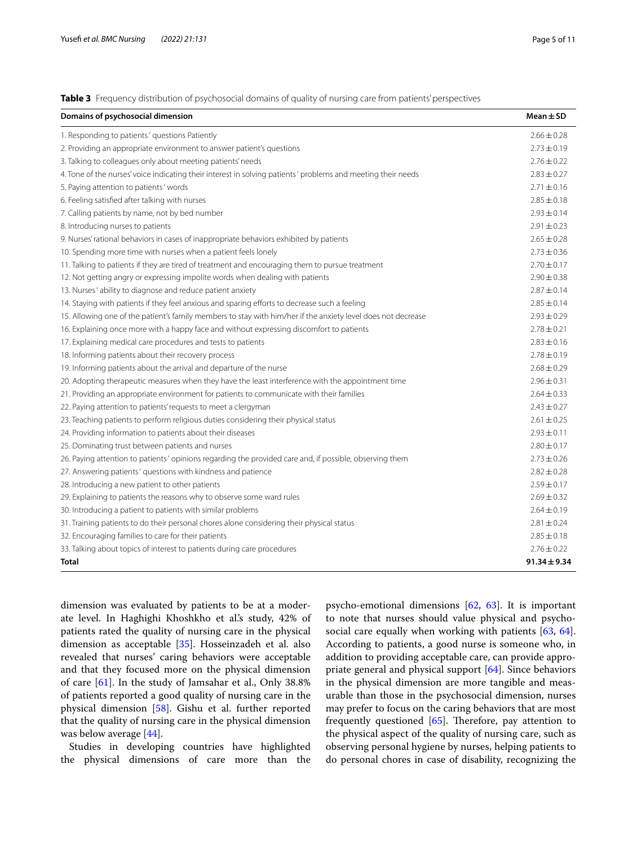<span id="page-4-0"></span>**Table 3** Frequency distribution of psychosocial domains of quality of nursing care from patients' perspectives

| Domains of psychosocial dimension                                                                            | $Mean \pm SD$    |
|--------------------------------------------------------------------------------------------------------------|------------------|
| 1. Responding to patients' questions Patiently                                                               | $2.66 \pm 0.28$  |
| 2. Providing an appropriate environment to answer patient's questions                                        | $2.73 \pm 0.19$  |
| 3. Talking to colleagues only about meeting patients' needs                                                  | $2.76 \pm 0.22$  |
| 4. Tone of the nurses' voice indicating their interest in solving patients' problems and meeting their needs | $2.83 \pm 0.27$  |
| 5. Paying attention to patients' words                                                                       | $2.71 \pm 0.16$  |
| 6. Feeling satisfied after talking with nurses                                                               | $2.85 \pm 0.18$  |
| 7. Calling patients by name, not by bed number                                                               | $7.93 + 0.14$    |
| 8. Introducing nurses to patients                                                                            | $2.91 \pm 0.23$  |
| 9. Nurses' rational behaviors in cases of inappropriate behaviors exhibited by patients                      | $2.65 \pm 0.28$  |
| 10. Spending more time with nurses when a patient feels lonely                                               | $2.73 \pm 0.36$  |
| 11. Talking to patients if they are tired of treatment and encouraging them to pursue treatment              | $2.70 \pm 0.17$  |
| 12. Not getting angry or expressing impolite words when dealing with patients                                | $2.90 \pm 0.38$  |
| 13. Nurses' ability to diagnose and reduce patient anxiety                                                   | $2.87 + 0.14$    |
| 14. Staying with patients if they feel anxious and sparing efforts to decrease such a feeling                | $2.85 \pm 0.14$  |
| 15. Allowing one of the patient's family members to stay with him/her if the anxiety level does not decrease | $2.93 \pm 0.29$  |
| 16. Explaining once more with a happy face and without expressing discomfort to patients                     | $2.78 \pm 0.21$  |
| 17. Explaining medical care procedures and tests to patients                                                 | $2.83 \pm 0.16$  |
| 18. Informing patients about their recovery process                                                          | $2.78 \pm 0.19$  |
| 19. Informing patients about the arrival and departure of the nurse                                          | $2.68 \pm 0.29$  |
| 20. Adopting therapeutic measures when they have the least interference with the appointment time            | $2.96 \pm 0.31$  |
| 21. Providing an appropriate environment for patients to communicate with their families                     | $2.64 \pm 0.33$  |
| 22. Paying attention to patients' requests to meet a clergyman                                               | $2.43 \pm 0.27$  |
| 23. Teaching patients to perform religious duties considering their physical status                          | $2.61 \pm 0.25$  |
| 24. Providing information to patients about their diseases                                                   | $2.93 \pm 0.11$  |
| 25. Dominating trust between patients and nurses                                                             | $2.80 \pm 0.17$  |
| 26. Paying attention to patients' opinions regarding the provided care and, if possible, observing them      | $2.73 \pm 0.26$  |
| 27. Answering patients' questions with kindness and patience                                                 | $2.82 \pm 0.28$  |
| 28. Introducing a new patient to other patients                                                              | $2.59 \pm 0.17$  |
| 29. Explaining to patients the reasons why to observe some ward rules                                        | $2.69 \pm 0.32$  |
| 30. Introducing a patient to patients with similar problems                                                  | $2.64 \pm 0.19$  |
| 31. Training patients to do their personal chores alone considering their physical status                    | $2.81 \pm 0.24$  |
| 32. Encouraging families to care for their patients                                                          | $2.85 \pm 0.18$  |
| 33. Talking about topics of interest to patients during care procedures                                      | $2.76 \pm 0.22$  |
| <b>Total</b>                                                                                                 | $91.34 \pm 9.34$ |

dimension was evaluated by patients to be at a moderate level. In Haghighi Khoshkho et al.'s study, 42% of patients rated the quality of nursing care in the physical dimension as acceptable [\[35](#page-9-10)]. Hosseinzadeh et al. also revealed that nurses' caring behaviors were acceptable and that they focused more on the physical dimension of care [[61\]](#page-9-22). In the study of Jamsahar et al., Only 38.8% of patients reported a good quality of nursing care in the physical dimension [\[58](#page-9-19)]. Gishu et al. further reported that the quality of nursing care in the physical dimension was below average [\[44](#page-9-23)].

Studies in developing countries have highlighted the physical dimensions of care more than the psycho-emotional dimensions [[62,](#page-9-24) [63\]](#page-9-25). It is important to note that nurses should value physical and psycho-social care equally when working with patients [[63,](#page-9-25) [64](#page-9-26)]. According to patients, a good nurse is someone who, in addition to providing acceptable care, can provide appropriate general and physical support [\[64](#page-9-26)]. Since behaviors in the physical dimension are more tangible and measurable than those in the psychosocial dimension, nurses may prefer to focus on the caring behaviors that are most frequently questioned  $[65]$  $[65]$ . Therefore, pay attention to the physical aspect of the quality of nursing care, such as observing personal hygiene by nurses, helping patients to do personal chores in case of disability, recognizing the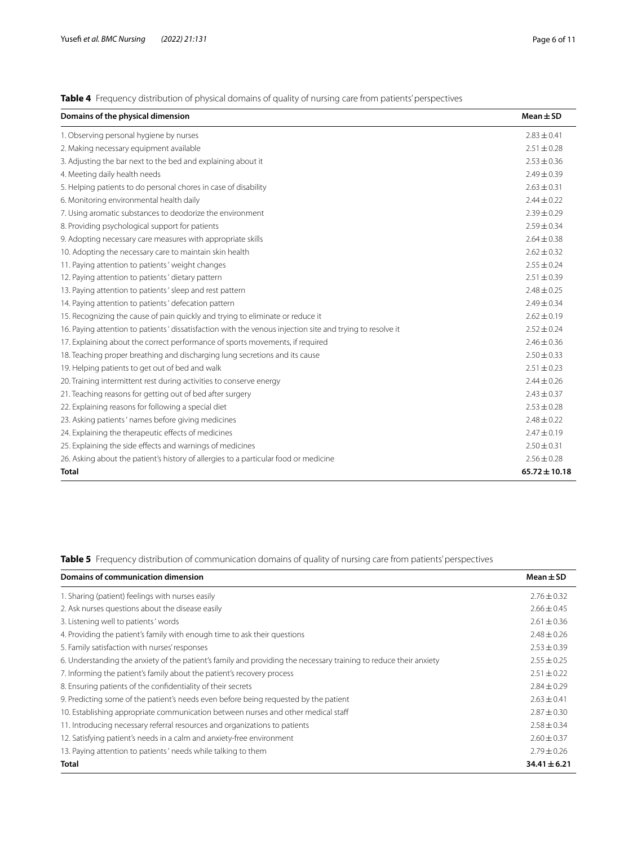<span id="page-5-0"></span>**Table 4** Frequency distribution of physical domains of quality of nursing care from patients' perspectives

| Domains of the physical dimension                                                                         | $Mean \pm SD$     |
|-----------------------------------------------------------------------------------------------------------|-------------------|
| 1. Observing personal hygiene by nurses                                                                   | $2.83 \pm 0.41$   |
| 2. Making necessary equipment available                                                                   | $2.51 \pm 0.28$   |
| 3. Adjusting the bar next to the bed and explaining about it                                              | $2.53 \pm 0.36$   |
| 4. Meeting daily health needs                                                                             | $2.49 \pm 0.39$   |
| 5. Helping patients to do personal chores in case of disability                                           | $2.63 \pm 0.31$   |
| 6. Monitoring environmental health daily                                                                  | $2.44 + 0.22$     |
| 7. Using aromatic substances to deodorize the environment                                                 | $2.39 \pm 0.29$   |
| 8. Providing psychological support for patients                                                           | $2.59 + 0.34$     |
| 9. Adopting necessary care measures with appropriate skills                                               | $2.64 \pm 0.38$   |
| 10. Adopting the necessary care to maintain skin health                                                   | $2.62 \pm 0.32$   |
| 11. Paying attention to patients' weight changes                                                          | $2.55 \pm 0.24$   |
| 12. Paying attention to patients' dietary pattern                                                         | $2.51 \pm 0.39$   |
| 13. Paying attention to patients' sleep and rest pattern                                                  | $2.48 \pm 0.25$   |
| 14. Paying attention to patients' defecation pattern                                                      | $2.49 \pm 0.34$   |
| 15. Recognizing the cause of pain quickly and trying to eliminate or reduce it                            | $2.62 \pm 0.19$   |
| 16. Paying attention to patients' dissatisfaction with the venous injection site and trying to resolve it | $2.52 \pm 0.24$   |
| 17. Explaining about the correct performance of sports movements, if required                             | $2.46 \pm 0.36$   |
| 18. Teaching proper breathing and discharging lung secretions and its cause                               | $2.50 \pm 0.33$   |
| 19. Helping patients to get out of bed and walk                                                           | $2.51 \pm 0.23$   |
| 20. Training intermittent rest during activities to conserve energy                                       | $2.44 \pm 0.26$   |
| 21. Teaching reasons for getting out of bed after surgery                                                 | $2.43 \pm 0.37$   |
| 22. Explaining reasons for following a special diet                                                       | $2.53 \pm 0.28$   |
| 23. Asking patients' names before giving medicines                                                        | $2.48 \pm 0.22$   |
| 24. Explaining the therapeutic effects of medicines                                                       | $2.47 + 0.19$     |
| 25. Explaining the side effects and warnings of medicines                                                 | $2.50 \pm 0.31$   |
| 26. Asking about the patient's history of allergies to a particular food or medicine                      | $2.56 \pm 0.28$   |
| <b>Total</b>                                                                                              | $65.72 \pm 10.18$ |

<span id="page-5-1"></span>**Table 5** Frequency distribution of communication domains of quality of nursing care from patients' perspectives

| Domains of communication dimension                                                                                | Mean $\pm$ SD    |
|-------------------------------------------------------------------------------------------------------------------|------------------|
| 1. Sharing (patient) feelings with nurses easily                                                                  | $2.76 \pm 0.32$  |
| 2. Ask nurses questions about the disease easily                                                                  | $2.66 \pm 0.45$  |
| 3. Listening well to patients' words                                                                              | $2.61 \pm 0.36$  |
| 4. Providing the patient's family with enough time to ask their questions                                         | $2.48 \pm 0.26$  |
| 5. Family satisfaction with nurses' responses                                                                     | $2.53 + 0.39$    |
| 6. Understanding the anxiety of the patient's family and providing the necessary training to reduce their anxiety | $2.55 \pm 0.25$  |
| 7. Informing the patient's family about the patient's recovery process                                            | $2.51 \pm 0.22$  |
| 8. Ensuring patients of the confidentiality of their secrets                                                      | $2.84 \pm 0.29$  |
| 9. Predicting some of the patient's needs even before being requested by the patient                              | $2.63 + 0.41$    |
| 10. Establishing appropriate communication between nurses and other medical staff                                 | $2.87 \pm 0.30$  |
| 11. Introducing necessary referral resources and organizations to patients                                        | $2.58 \pm 0.34$  |
| 12. Satisfying patient's needs in a calm and anxiety-free environment                                             | $2.60 + 0.37$    |
| 13. Paying attention to patients' needs while talking to them                                                     | $2.79 + 0.26$    |
| Total                                                                                                             | $34.41 \pm 6.21$ |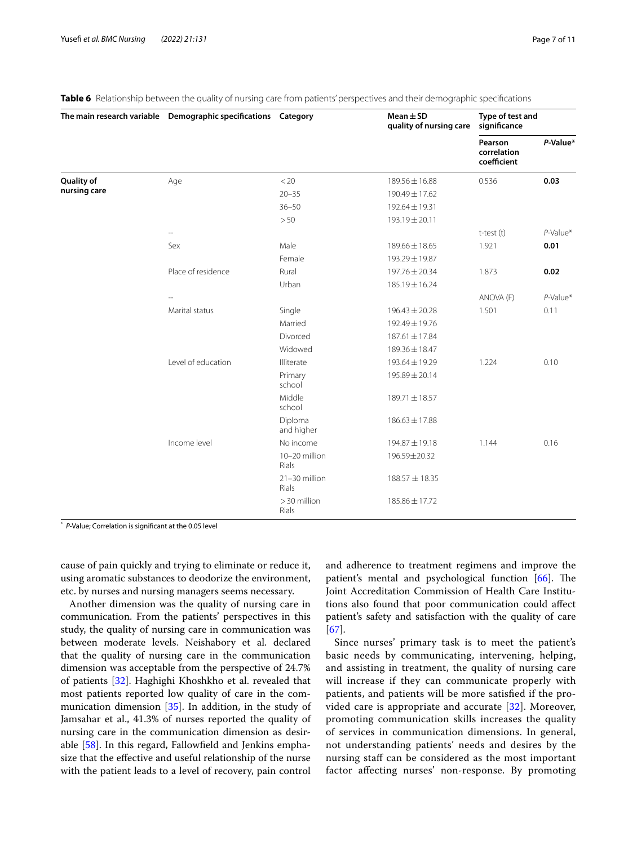|                            | The main research variable  Demographic specifications  Category |                               | $Mean \pm SD$<br>quality of nursing care | Type of test and<br>significance      |             |
|----------------------------|------------------------------------------------------------------|-------------------------------|------------------------------------------|---------------------------------------|-------------|
|                            |                                                                  |                               |                                          | Pearson<br>correlation<br>coefficient | P-Value*    |
| Quality of<br>nursing care | Age                                                              | < 20                          | 189.56 ± 16.88                           | 0.536                                 | 0.03        |
|                            |                                                                  | $20 - 35$                     | 190.49 ± 17.62                           |                                       |             |
|                            |                                                                  | $36 - 50$                     | 192.64 ± 19.31                           |                                       |             |
|                            |                                                                  | >50                           | 193.19 ± 20.11                           |                                       |             |
|                            |                                                                  |                               |                                          | t-test (t)                            | $P$ -Value* |
|                            | Sex                                                              | Male                          | 189.66 ± 18.65                           | 1.921                                 | 0.01        |
|                            |                                                                  | Female                        | 193.29 ± 19.87                           |                                       |             |
|                            | Place of residence                                               | Rural                         | 197.76 ± 20.34                           | 1.873                                 | 0.02        |
|                            |                                                                  | Urban                         | 185.19 ± 16.24                           |                                       |             |
|                            |                                                                  |                               |                                          | ANOVA (F)                             | $P$ -Value* |
|                            | Marital status                                                   | Single                        | $196.43 \pm 20.28$                       | 1.501                                 | 0.11        |
|                            |                                                                  | Married                       | 192.49 ± 19.76                           |                                       |             |
|                            |                                                                  | Divorced                      | 187.61 ± 17.84                           |                                       |             |
|                            |                                                                  | Widowed                       | 189.36 ± 18.47                           |                                       |             |
|                            | Level of education                                               | Illiterate                    | 193.64 ± 19.29                           | 1.224                                 | 0.10        |
|                            |                                                                  | Primary<br>school             | 195.89 ± 20.14                           |                                       |             |
|                            |                                                                  | Middle<br>school              | 189.71 ± 18.57                           |                                       |             |
|                            |                                                                  | Diploma<br>and higher         | $186.63 \pm 17.88$                       |                                       |             |
|                            | Income level                                                     | No income                     | 194.87 ± 19.18                           | 1.144                                 | 0.16        |
|                            |                                                                  | 10-20 million<br><b>Rials</b> | 196.59±20.32                             |                                       |             |
|                            |                                                                  | 21-30 million<br><b>Rials</b> | 188.57 ± 18.35                           |                                       |             |
|                            |                                                                  | > 30 million<br><b>Rials</b>  | 185.86 ± 17.72                           |                                       |             |

<span id="page-6-0"></span>**Table 6** Relationship between the quality of nursing care from patients' perspectives and their demographic specifications

\* *P*-Value; Correlation is signifcant at the 0.05 level

cause of pain quickly and trying to eliminate or reduce it, using aromatic substances to deodorize the environment, etc. by nurses and nursing managers seems necessary.

Another dimension was the quality of nursing care in communication. From the patients' perspectives in this study, the quality of nursing care in communication was between moderate levels. Neishabory et al. declared that the quality of nursing care in the communication dimension was acceptable from the perspective of 24.7% of patients [\[32](#page-9-7)]. Haghighi Khoshkho et al. revealed that most patients reported low quality of care in the communication dimension [\[35\]](#page-9-10). In addition, in the study of Jamsahar et al., 41.3% of nurses reported the quality of nursing care in the communication dimension as desirable [[58](#page-9-19)]. In this regard, Fallowfeld and Jenkins emphasize that the efective and useful relationship of the nurse with the patient leads to a level of recovery, pain control and adherence to treatment regimens and improve the patient's mental and psychological function  $[66]$  $[66]$  $[66]$ . The Joint Accreditation Commission of Health Care Institutions also found that poor communication could afect patient's safety and satisfaction with the quality of care [[67\]](#page-9-29).

Since nurses' primary task is to meet the patient's basic needs by communicating, intervening, helping, and assisting in treatment, the quality of nursing care will increase if they can communicate properly with patients, and patients will be more satisfed if the provided care is appropriate and accurate [\[32](#page-9-7)]. Moreover, promoting communication skills increases the quality of services in communication dimensions. In general, not understanding patients' needs and desires by the nursing staf can be considered as the most important factor afecting nurses' non-response. By promoting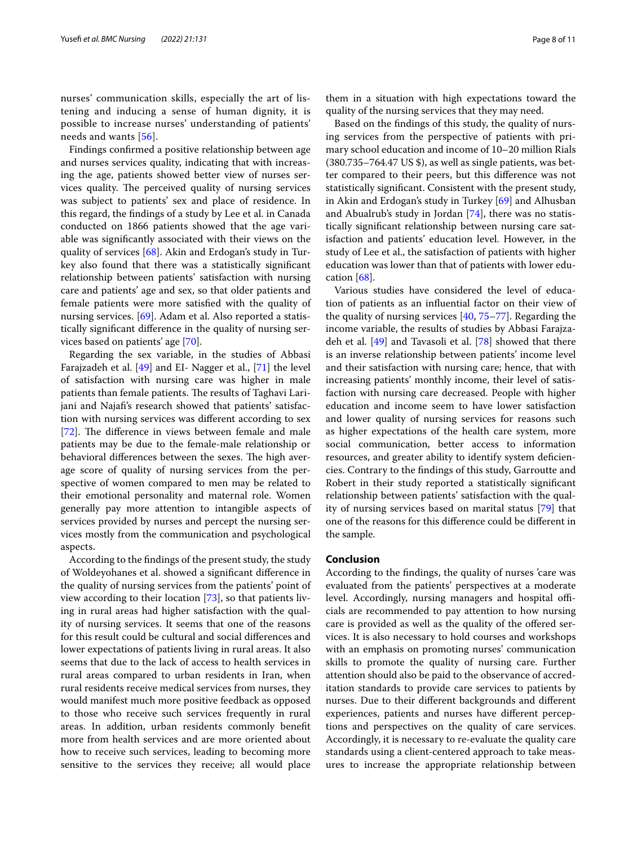nurses' communication skills, especially the art of listening and inducing a sense of human dignity, it is possible to increase nurses' understanding of patients' needs and wants [[56](#page-9-17)].

Findings confrmed a positive relationship between age and nurses services quality, indicating that with increasing the age, patients showed better view of nurses services quality. The perceived quality of nursing services was subject to patients' sex and place of residence. In this regard, the fndings of a study by Lee et al. in Canada conducted on 1866 patients showed that the age variable was signifcantly associated with their views on the quality of services [\[68](#page-9-30)]. Akin and Erdogan's study in Turkey also found that there was a statistically signifcant relationship between patients' satisfaction with nursing care and patients' age and sex, so that older patients and female patients were more satisfed with the quality of nursing services. [\[69\]](#page-9-31). Adam et al. Also reported a statistically signifcant diference in the quality of nursing services based on patients' age [[70\]](#page-10-0).

Regarding the sex variable, in the studies of Abbasi Farajzadeh et al. [[49\]](#page-9-32) and EI- Nagger et al., [[71\]](#page-10-1) the level of satisfaction with nursing care was higher in male patients than female patients. The results of Taghavi Larijani and Najaf's research showed that patients' satisfaction with nursing services was diferent according to sex [[72\]](#page-10-2). The difference in views between female and male patients may be due to the female-male relationship or behavioral differences between the sexes. The high average score of quality of nursing services from the perspective of women compared to men may be related to their emotional personality and maternal role. Women generally pay more attention to intangible aspects of services provided by nurses and percept the nursing services mostly from the communication and psychological aspects.

According to the fndings of the present study, the study of Woldeyohanes et al. showed a signifcant diference in the quality of nursing services from the patients' point of view according to their location [\[73](#page-10-3)], so that patients living in rural areas had higher satisfaction with the quality of nursing services. It seems that one of the reasons for this result could be cultural and social diferences and lower expectations of patients living in rural areas. It also seems that due to the lack of access to health services in rural areas compared to urban residents in Iran, when rural residents receive medical services from nurses, they would manifest much more positive feedback as opposed to those who receive such services frequently in rural areas. In addition, urban residents commonly beneft more from health services and are more oriented about how to receive such services, leading to becoming more sensitive to the services they receive; all would place

them in a situation with high expectations toward the quality of the nursing services that they may need.

Based on the fndings of this study, the quality of nursing services from the perspective of patients with primary school education and income of 10–20 million Rials (380.735–764.47 US \$), as well as single patients, was better compared to their peers, but this diference was not statistically signifcant. Consistent with the present study, in Akin and Erdogan's study in Turkey [\[69](#page-9-31)] and Alhusban and Abualrub's study in Jordan [\[74](#page-10-4)], there was no statistically signifcant relationship between nursing care satisfaction and patients' education level. However, in the study of Lee et al., the satisfaction of patients with higher education was lower than that of patients with lower education [[68](#page-9-30)].

Various studies have considered the level of education of patients as an infuential factor on their view of the quality of nursing services [\[40](#page-9-33), [75–](#page-10-5)[77](#page-10-6)]. Regarding the income variable, the results of studies by Abbasi Farajzadeh et al. [[49](#page-9-32)] and Tavasoli et al. [\[78](#page-10-7)] showed that there is an inverse relationship between patients' income level and their satisfaction with nursing care; hence, that with increasing patients' monthly income, their level of satisfaction with nursing care decreased. People with higher education and income seem to have lower satisfaction and lower quality of nursing services for reasons such as higher expectations of the health care system, more social communication, better access to information resources, and greater ability to identify system deficiencies. Contrary to the fndings of this study, Garroutte and Robert in their study reported a statistically signifcant relationship between patients' satisfaction with the quality of nursing services based on marital status [[79\]](#page-10-8) that one of the reasons for this diference could be diferent in the sample.

#### **Conclusion**

According to the fndings, the quality of nurses 'care was evaluated from the patients' perspectives at a moderate level. Accordingly, nursing managers and hospital officials are recommended to pay attention to how nursing care is provided as well as the quality of the ofered services. It is also necessary to hold courses and workshops with an emphasis on promoting nurses' communication skills to promote the quality of nursing care. Further attention should also be paid to the observance of accreditation standards to provide care services to patients by nurses. Due to their diferent backgrounds and diferent experiences, patients and nurses have diferent perceptions and perspectives on the quality of care services. Accordingly, it is necessary to re-evaluate the quality care standards using a client-centered approach to take measures to increase the appropriate relationship between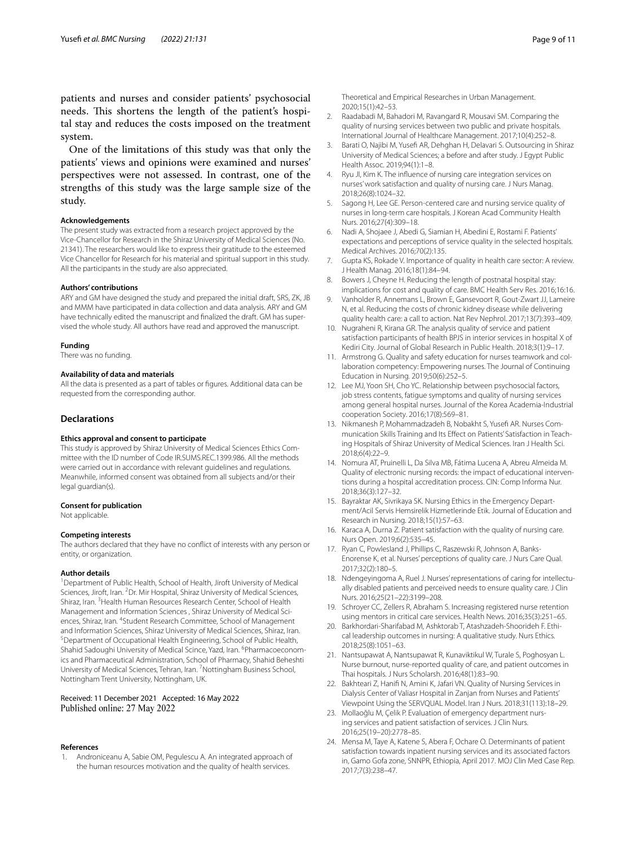patients and nurses and consider patients' psychosocial needs. This shortens the length of the patient's hospital stay and reduces the costs imposed on the treatment system.

One of the limitations of this study was that only the patients' views and opinions were examined and nurses' perspectives were not assessed. In contrast, one of the strengths of this study was the large sample size of the study.

#### **Acknowledgements**

The present study was extracted from a research project approved by the Vice-Chancellor for Research in the Shiraz University of Medical Sciences (No. 21341). The researchers would like to express their gratitude to the esteemed Vice Chancellor for Research for his material and spiritual support in this study. All the participants in the study are also appreciated.

#### **Authors' contributions**

ARY and GM have designed the study and prepared the initial draft, SRS, ZK, JB and MMM have participated in data collection and data analysis. ARY and GM have technically edited the manuscript and fnalized the draft. GM has supervised the whole study. All authors have read and approved the manuscript.

#### **Funding**

There was no funding.

#### **Availability of data and materials**

All the data is presented as a part of tables or fgures. Additional data can be requested from the corresponding author.

#### **Declarations**

#### **Ethics approval and consent to participate**

This study is approved by Shiraz University of Medical Sciences Ethics Committee with the ID number of Code IR.SUMS.REC.1399.986. All the methods were carried out in accordance with relevant guidelines and regulations. Meanwhile, informed consent was obtained from all subjects and/or their legal guardian(s).

#### **Consent for publication**

Not applicable.

#### **Competing interests**

The authors declared that they have no confict of interests with any person or entity, or organization.

#### **Author details**

<sup>1</sup> Department of Public Health, School of Health, Jiroft University of Medical Sciences, Jiroft, Iran. <sup>2</sup>Dr. Mir Hospital, Shiraz University of Medical Sciences, Shiraz, Iran. <sup>3</sup> Health Human Resources Research Center, School of Health Management and Information Sciences , Shiraz University of Medical Sciences, Shiraz, Iran. <sup>4</sup>Student Research Committee, School of Management and Information Sciences, Shiraz University of Medical Sciences, Shiraz, Iran. Department of Occupational Health Engineering, School of Public Health, Shahid Sadoughi University of Medical Scince, Yazd, Iran. <sup>6</sup>Pharmacoeconomics and Pharmaceutical Administration, School of Pharmacy, Shahid Beheshti University of Medical Sciences, Tehran, Iran. <sup>7</sup> Nottingham Business School, Nottingham Trent University, Nottingham, UK.

#### Received: 11 December 2021 Accepted: 16 May 2022 Published online: 27 May 2022

#### **References**

<span id="page-8-0"></span>1. Androniceanu A, Sabie OM, Pegulescu A. An integrated approach of the human resources motivation and the quality of health services.

Theoretical and Empirical Researches in Urban Management. 2020;15(1):42–53.

- <span id="page-8-1"></span>2. Raadabadi M, Bahadori M, Ravangard R, Mousavi SM. Comparing the quality of nursing services between two public and private hospitals. International Journal of Healthcare Management. 2017;10(4):252–8.
- <span id="page-8-2"></span>Barati O, Najibi M, Yusefi AR, Dehghan H, Delavari S. Outsourcing in Shiraz University of Medical Sciences; a before and after study. J Egypt Public Health Assoc. 2019;94(1):1–8.
- <span id="page-8-3"></span>4. Ryu JI, Kim K. The infuence of nursing care integration services on nurses' work satisfaction and quality of nursing care. J Nurs Manag. 2018;26(8):1024–32.
- <span id="page-8-4"></span>5. Sagong H, Lee GE. Person-centered care and nursing service quality of nurses in long-term care hospitals. J Korean Acad Community Health Nurs. 2016;27(4):309–18.
- <span id="page-8-5"></span>6. Nadi A, Shojaee J, Abedi G, Siamian H, Abedini E, Rostami F. Patients' expectations and perceptions of service quality in the selected hospitals. Medical Archives. 2016;70(2):135.
- <span id="page-8-6"></span>7. Gupta KS, Rokade V. Importance of quality in health care sector: A review. J Health Manag. 2016;18(1):84–94.
- <span id="page-8-7"></span>8. Bowers J, Cheyne H. Reducing the length of postnatal hospital stay: implications for cost and quality of care. BMC Health Serv Res. 2016;16:16.
- <span id="page-8-8"></span>9. Vanholder R, Annemans L, Brown E, Gansevoort R, Gout-Zwart JJ, Lameire N, et al. Reducing the costs of chronic kidney disease while delivering quality health care: a call to action. Nat Rev Nephrol. 2017;13(7):393–409.
- <span id="page-8-9"></span>10. Nugraheni R, Kirana GR. The analysis quality of service and patient satisfaction participants of health BPJS in interior services in hospital X of Kediri City. Journal of Global Research in Public Health. 2018;3(1):9–17.
- <span id="page-8-10"></span>11. Armstrong G. Quality and safety education for nurses teamwork and collaboration competency: Empowering nurses. The Journal of Continuing Education in Nursing. 2019;50(6):252–5.
- <span id="page-8-11"></span>12. Lee MJ, Yoon SH, Cho YC. Relationship between psychosocial factors, job stress contents, fatigue symptoms and quality of nursing services among general hospital nurses. Journal of the Korea Academia-Industrial cooperation Society. 2016;17(8):569–81.
- <span id="page-8-12"></span>13. Nikmanesh P, Mohammadzadeh B, Nobakht S, Yusef AR. Nurses Communication Skills Training and Its Efect on Patients' Satisfaction in Teaching Hospitals of Shiraz University of Medical Sciences. Iran J Health Sci. 2018;6(4):22–9.
- <span id="page-8-13"></span>14. Nomura AT, Pruinelli L, Da Silva MB, Fátima Lucena A, Abreu Almeida M. Quality of electronic nursing records: the impact of educational interventions during a hospital accreditation process. CIN: Comp Informa Nur. 2018;36(3):127–32.
- <span id="page-8-14"></span>15. Bayraktar AK, Sivrikaya SK. Nursing Ethics in the Emergency Department/Acil Servis Hemsirelik Hizmetlerinde Etik. Journal of Education and Research in Nursing. 2018;15(1):57–63.
- <span id="page-8-15"></span>16. Karaca A, Durna Z. Patient satisfaction with the quality of nursing care. Nurs Open. 2019;6(2):535–45.
- <span id="page-8-16"></span>17. Ryan C, Powlesland J, Phillips C, Raszewski R, Johnson A, Banks-Enorense K, et al. Nurses' perceptions of quality care. J Nurs Care Qual. 2017;32(2):180–5.
- <span id="page-8-17"></span>18. Ndengeyingoma A, Ruel J. Nurses' representations of caring for intellectually disabled patients and perceived needs to ensure quality care. J Clin Nurs. 2016;25(21–22):3199–208.
- <span id="page-8-18"></span>19. Schroyer CC, Zellers R, Abraham S. Increasing registered nurse retention using mentors in critical care services. Health News. 2016;35(3):251–65.
- <span id="page-8-19"></span>20. Barkhordari-Sharifabad M, Ashktorab T, Atashzadeh-Shoorideh F. Ethical leadership outcomes in nursing: A qualitative study. Nurs Ethics. 2018;25(8):1051–63.
- <span id="page-8-20"></span>21. Nantsupawat A, Nantsupawat R, Kunaviktikul W, Turale S, Poghosyan L. Nurse burnout, nurse-reported quality of care, and patient outcomes in Thai hospitals. J Nurs Scholarsh. 2016;48(1):83–90.
- <span id="page-8-21"></span>22. Bakhteari Z, Hanif N, Amini K, Jafari VN. Quality of Nursing Services in Dialysis Center of Valiasr Hospital in Zanjan from Nurses and Patients' Viewpoint Using the SERVQUAL Model. Iran J Nurs. 2018;31(113):18–29.
- <span id="page-8-22"></span>23. Mollaoğlu M, Çelik P. Evaluation of emergency department nursing services and patient satisfaction of services. J Clin Nurs. 2016;25(19–20):2778–85.
- <span id="page-8-23"></span>24. Mensa M, Taye A, Katene S, Abera F, Ochare O. Determinants of patient satisfaction towards inpatient nursing services and its associated factors in, Gamo Gofa zone, SNNPR, Ethiopia, April 2017. MOJ Clin Med Case Rep. 2017;7(3):238–47.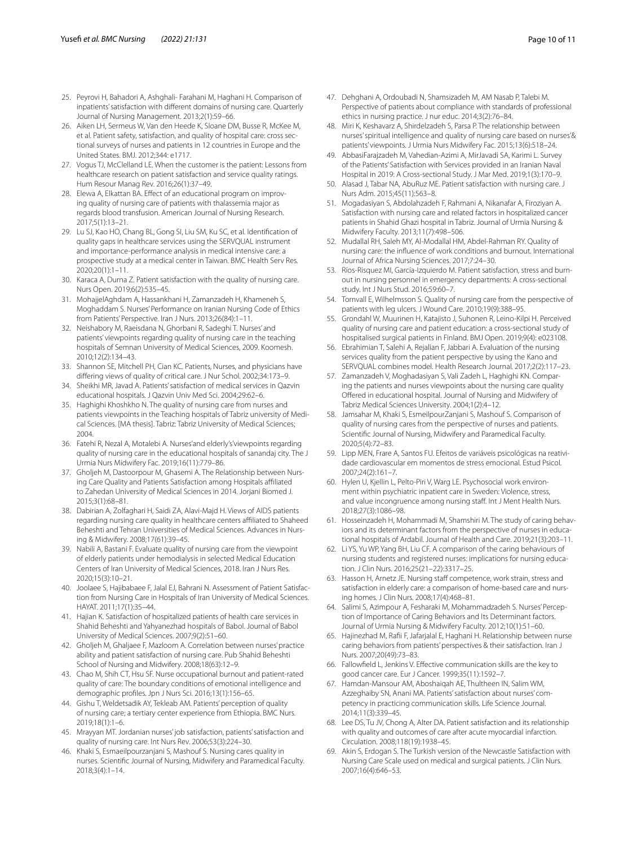- <span id="page-9-0"></span>25. Peyrovi H, Bahadori A, Ashghali- Farahani M, Haghani H. Comparison of inpatients' satisfaction with diferent domains of nursing care. Quarterly Journal of Nursing Management. 2013;2(1):59–66.
- <span id="page-9-1"></span>26. Aiken LH, Sermeus W, Van den Heede K, Sloane DM, Busse R, McKee M, et al. Patient safety, satisfaction, and quality of hospital care: cross sectional surveys of nurses and patients in 12 countries in Europe and the United States. BMJ. 2012;344: e1717.
- <span id="page-9-2"></span>27. Vogus TJ, McClelland LE. When the customer is the patient: Lessons from healthcare research on patient satisfaction and service quality ratings. Hum Resour Manag Rev. 2016;26(1):37–49.
- <span id="page-9-3"></span>28. Elewa A, Elkattan BA. Effect of an educational program on improving quality of nursing care of patients with thalassemia major as regards blood transfusion. American Journal of Nursing Research. 2017;5(1):13–21.
- <span id="page-9-4"></span>29. Lu SJ, Kao HO, Chang BL, Gong SI, Liu SM, Ku SC, et al. Identifcation of quality gaps in healthcare services using the SERVQUAL instrument and importance-performance analysis in medical intensive care: a prospective study at a medical center in Taiwan. BMC Health Serv Res. 2020;20(1):1–11.
- <span id="page-9-5"></span>30. Karaca A, Durna Z. Patient satisfaction with the quality of nursing care. Nurs Open. 2019;6(2):535–45.
- <span id="page-9-6"></span>31. MohajjelAghdam A, Hassankhani H, Zamanzadeh H, Khameneh S, Moghaddam S. Nurses' Performance on Iranian Nursing Code of Ethics from Patients' Perspective. Iran J Nurs. 2013;26(84):1–11.
- <span id="page-9-7"></span>32. Neishabory M, Raeisdana N, Ghorbani R, Sadeghi T. Nurses' and patients' viewpoints regarding quality of nursing care in the teaching hospitals of Semnan University of Medical Sciences, 2009. Koomesh. 2010;12(2):134–43.
- <span id="page-9-8"></span>33. Shannon SE, Mitchell PH, Cian KC. Patients, Nurses, and physicians have difering views of quality of critical care. J Nur Schol. 2002;34:173–9.
- <span id="page-9-9"></span>34. Sheikhi MR, Javad A. Patients' satisfaction of medical services in Qazvin educational hospitals. J Qazvin Univ Med Sci. 2004;29:62–6.
- <span id="page-9-10"></span>35. Haghighi Khoshkho N. The quality of nursing care from nurses and patients viewpoints in the Teaching hospitals of Tabriz university of Medical Sciences. [MA thesis]. Tabriz: Tabriz University of Medical Sciences; 2004.
- <span id="page-9-11"></span>36. Fatehi R, Nezal A, Motalebi A. Nurses'and elderly's'viewpoints regarding quality of nursing care in the educational hospitals of sanandaj city. The J Urmia Nurs Midwifery Fac. 2019;16(11):779–86.
- <span id="page-9-12"></span>37. Gholjeh M, Dastoorpour M, Ghasemi A. The Relationship between Nursing Care Quality and Patients Satisfaction among Hospitals afliated to Zahedan University of Medical Sciences in 2014. Jorjani Biomed J. 2015;3(1):68–81.
- <span id="page-9-13"></span>38. Dabirian A, Zolfaghari H, Saidi ZA, Alavi-Majd H. Views of AIDS patients regarding nursing care quality in healthcare centers afliated to Shaheed Beheshti and Tehran Universities of Medical Sciences. Advances in Nursing & Midwifery. 2008;17(61):39–45.
- 39. Nabili A, Bastani F. Evaluate quality of nursing care from the viewpoint of elderly patients under hemodialysis in selected Medical Education Centers of Iran University of Medical Sciences, 2018. Iran J Nurs Res. 2020;15(3):10–21.
- <span id="page-9-33"></span>40. Joolaee S, Hajibabaee F, Jalal EJ, Bahrani N. Assessment of Patient Satisfaction from Nursing Care in Hospitals of Iran University of Medical Sciences. HAYAT. 2011;17(1):35–44.
- 41. Hajian K. Satisfaction of hospitalized patients of health care services in Shahid Beheshti and Yahyanezhad hospitals of Babol. Journal of Babol University of Medical Sciences. 2007;9(2):51–60.
- 42. Gholjeh M, Ghaljaee F, Mazloom A. Correlation between nurses' practice ability and patient satisfaction of nursing care. Pub Shahid Beheshti School of Nursing and Midwifery. 2008;18(63):12–9.
- 43. Chao M, Shih CT, Hsu SF. Nurse occupational burnout and patient-rated quality of care: The boundary conditions of emotional intelligence and demographic profles. Jpn J Nurs Sci. 2016;13(1):156–65.
- <span id="page-9-23"></span>44. Gishu T, Weldetsadik AY, Tekleab AM. Patients' perception of quality of nursing care; a tertiary center experience from Ethiopia. BMC Nurs. 2019;18(1):1–6.
- <span id="page-9-14"></span>45. Mrayyan MT. Jordanian nurses' job satisfaction, patients' satisfaction and quality of nursing care. Int Nurs Rev. 2006;53(3):224–30.
- <span id="page-9-15"></span>46. Khaki S, Esmaeilpourzanjani S, Mashouf S. Nursing cares quality in nurses. Scientifc Journal of Nursing, Midwifery and Paramedical Faculty. 2018;3(4):1–14.
- 47. Dehghani A, Ordoubadi N, Shamsizadeh M, AM Nasab P, Talebi M. Perspective of patients about compliance with standards of professional ethics in nursing practice. J nur educ. 2014;3(2):76–84.
- 48. Miri K, Keshavarz A, Shirdelzadeh S, Parsa P. The relationship between nurses' spiritual intelligence and quality of nursing care based on nurses'& patients' viewpoints. J Urmia Nurs Midwifery Fac. 2015;13(6):518–24.
- <span id="page-9-32"></span>49. AbbasiFarajzadeh M, Vahedian-Azimi A, MirJavadi SA, Karimi L. Survey of the Patients' Satisfaction with Services provided in an Iranian Naval Hospital in 2019: A Cross-sectional Study. J Mar Med. 2019;1(3):170–9.
- 50. Alasad J, Tabar NA, AbuRuz ME. Patient satisfaction with nursing care. J Nurs Adm. 2015;45(11):563–8.
- 51. Mogadasiyan S, Abdolahzadeh F, Rahmani A, Nikanafar A, Firoziyan A. Satisfaction with nursing care and related factors in hospitalized cancer patients in Shahid Ghazi hospital in Tabriz. Journal of Urmia Nursing & Midwifery Faculty. 2013;11(7):498–506.
- 52. Mudallal RH, Saleh MY, Al-Modallal HM, Abdel-Rahman RY. Quality of nursing care: the infuence of work conditions and burnout. International Journal of Africa Nursing Sciences. 2017;7:24–30.
- 53. Ríos-Risquez MI, García-Izquierdo M. Patient satisfaction, stress and burnout in nursing personnel in emergency departments: A cross-sectional study. Int J Nurs Stud. 2016;59:60–7.
- 54. Tornvall E, Wilhelmsson S. Quality of nursing care from the perspective of patients with leg ulcers. J Wound Care. 2010;19(9):388–95.
- <span id="page-9-16"></span>55. Grondahl W, Muurinen H, Katajisto J, Suhonen R, Leino-Kilpi H. Perceived quality of nursing care and patient education: a cross-sectional study of hospitalised surgical patients in Finland. BMJ Open. 2019;9(4): e023108.
- <span id="page-9-17"></span>56. Ebrahimian T, Salehi A, Rejalian F, Jabbari A. Evaluation of the nursing services quality from the patient perspective by using the Kano and SERVQUAL combines model. Health Research Journal. 2017;2(2):117–23.
- <span id="page-9-18"></span>57. Zamanzadeh V, Moghadasiyan S, Vali Zadeh L, Haghighi KN. Comparing the patients and nurses viewpoints about the nursing care quality Ofered in educational hospital. Journal of Nursing and Midwifery of Tabriz Medical Sciences University. 2004;1(2):4–12.
- <span id="page-9-19"></span>58. Jamsahar M, Khaki S, EsmeilpourZanjani S, Mashouf S. Comparison of quality of nursing cares from the perspective of nurses and patients. Scientifc Journal of Nursing, Midwifery and Paramedical Faculty. 2020;5(4):72–83.
- <span id="page-9-20"></span>59. Lipp MEN, Frare A, Santos FU. Efeitos de variáveis psicológicas na reatividade cardiovascular em momentos de stress emocional. Estud Psicol. 2007;24(2):161–7.
- <span id="page-9-21"></span>60. Hylen U, Kjellin L, Pelto-Piri V, Warg LE. Psychosocial work environment within psychiatric inpatient care in Sweden: Violence, stress, and value incongruence among nursing staff. Int J Ment Health Nurs. 2018;27(3):1086–98.
- <span id="page-9-22"></span>61. Hosseinzadeh H, Mohammadi M, Shamshiri M. The study of caring behaviors and its determinant factors from the perspective of nurses in educational hospitals of Ardabil. Journal of Health and Care. 2019;21(3):203–11.
- <span id="page-9-24"></span>62. Li YS, Yu WP, Yang BH, Liu CF. A comparison of the caring behaviours of nursing students and registered nurses: implications for nursing education. J Clin Nurs. 2016;25(21–22):3317–25.
- <span id="page-9-25"></span>63. Hasson H, Arnetz JE. Nursing staff competence, work strain, stress and satisfaction in elderly care: a comparison of home-based care and nursing homes. J Clin Nurs. 2008;17(4):468–81.
- <span id="page-9-26"></span>64. Salimi S, Azimpour A, Fesharaki M, Mohammadzadeh S. Nurses' Perception of Importance of Caring Behaviors and Its Determinant factors. Journal of Urmia Nursing & Midwifery Faculty. 2012;10(1):51–60.
- <span id="page-9-27"></span>65. Hajinezhad M, Rafi F, Jafarjalal E, Haghani H. Relationship between nurse caring behaviors from patients' perspectives & their satisfaction. Iran J Nurs. 2007;20(49):73–83.
- <span id="page-9-28"></span>66. Fallowfeld L, Jenkins V. Efective communication skills are the key to good cancer care. Eur J Cancer. 1999;35(11):1592–7.
- <span id="page-9-29"></span>67. Hamdan-Mansour AM, Aboshaiqah AE, Thultheen IN, Salim WM, Azzeghaiby SN, Anani MA. Patients' satisfaction about nurses' competency in practicing communication skills. Life Science Journal. 2014;11(3):339–45.
- <span id="page-9-30"></span>68. Lee DS, Tu JV, Chong A, Alter DA. Patient satisfaction and its relationship with quality and outcomes of care after acute myocardial infarction. Circulation. 2008;118(19):1938–45.
- <span id="page-9-31"></span>69. Akin S, Erdogan S. The Turkish version of the Newcastle Satisfaction with Nursing Care Scale used on medical and surgical patients. J Clin Nurs. 2007;16(4):646–53.